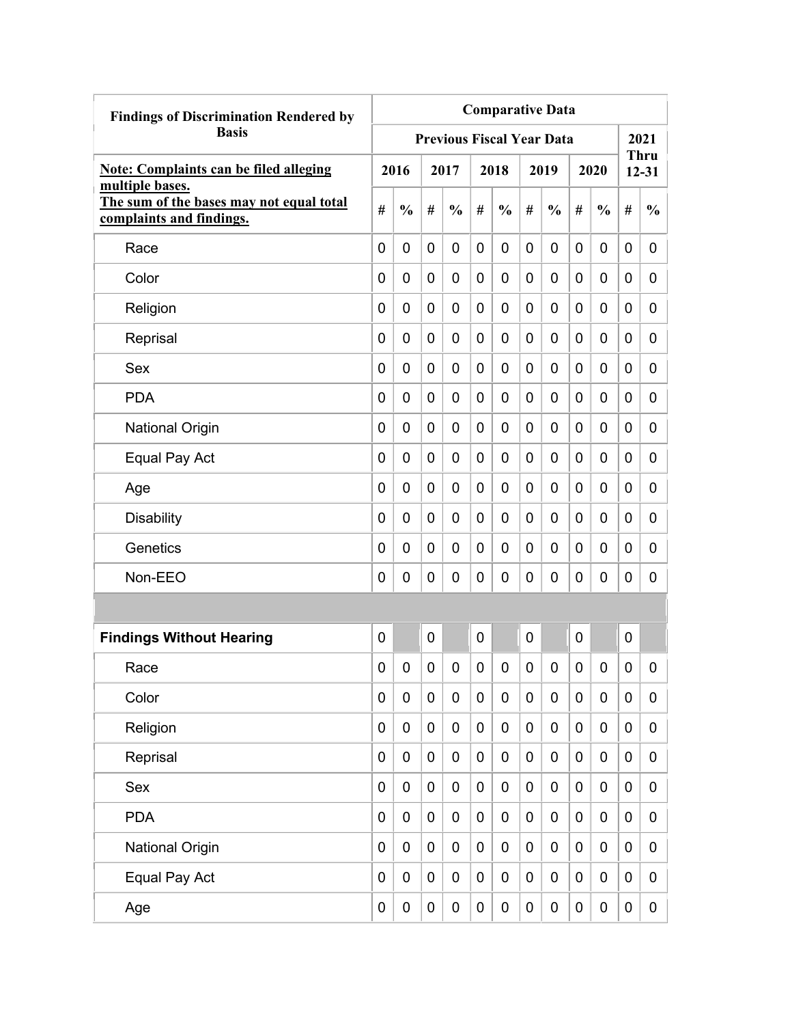| <b>Findings of Discrimination Rendered by</b>                                           | <b>Comparative Data</b> |               |             |                                  |             |               |             |               |   |                  |                  |                          |
|-----------------------------------------------------------------------------------------|-------------------------|---------------|-------------|----------------------------------|-------------|---------------|-------------|---------------|---|------------------|------------------|--------------------------|
| <b>Basis</b>                                                                            |                         |               |             | <b>Previous Fiscal Year Data</b> |             |               |             |               |   |                  |                  | 2021                     |
| <b>Note: Complaints can be filed alleging</b>                                           |                         | 2016          |             | 2017                             |             | 2018          |             | 2019          |   | 2020             |                  | <b>Thru</b><br>$12 - 31$ |
| multiple bases.<br>The sum of the bases may not equal total<br>complaints and findings. | #                       | $\frac{0}{0}$ | #           | $\frac{0}{0}$                    | #           | $\frac{0}{0}$ | #           | $\frac{0}{0}$ | # | $\frac{0}{0}$    | #                | $\frac{0}{0}$            |
| Race                                                                                    | 0                       | 0             | 0           | 0                                | $\mathbf 0$ | 0             | 0           | 0             | 0 | 0                | 0                | 0                        |
| Color                                                                                   | 0                       | 0             | 0           | 0                                | 0           | 0             | 0           | 0             | 0 | 0                | 0                | 0                        |
| Religion                                                                                | 0                       | 0             | 0           | 0                                | 0           | 0             | 0           | 0             | 0 | 0                | 0                | 0                        |
| Reprisal                                                                                | 0                       | 0             | 0           | 0                                | 0           | $\mathbf 0$   | 0           | 0             | 0 | 0                | $\mathbf 0$      | 0                        |
| Sex                                                                                     | 0                       | 0             | 0           | 0                                | 0           | $\mathbf 0$   | 0           | 0             | 0 | 0                | $\mathbf 0$      | 0                        |
| <b>PDA</b>                                                                              | 0                       | 0             | 0           | 0                                | 0           | $\mathbf 0$   | 0           | 0             | 0 | 0                | 0                | 0                        |
| <b>National Origin</b>                                                                  | 0                       | 0             | 0           | 0                                | 0           | $\mathbf 0$   | 0           | 0             | 0 | 0                | 0                | 0                        |
| Equal Pay Act                                                                           | 0                       | 0             | 0           | 0                                | $\mathbf 0$ | 0             | 0           | 0             | 0 | 0                | 0                | 0                        |
| Age                                                                                     | 0                       | 0             | 0           | 0                                | 0           | 0             | 0           | 0             | 0 | 0                | 0                | 0                        |
| <b>Disability</b>                                                                       | 0                       | 0             | 0           | 0                                | 0           | 0             | 0           | 0             | 0 | 0                | 0                | 0                        |
| Genetics                                                                                | 0                       | 0             | 0           | 0                                | 0           | $\mathbf 0$   | 0           | 0             | 0 | 0                | 0                | 0                        |
| Non-EEO                                                                                 | 0                       | 0             | 0           | 0                                | 0           | 0             | 0           | 0             | 0 | 0                | $\mathbf 0$      | 0                        |
|                                                                                         |                         |               |             |                                  |             |               |             |               |   |                  |                  |                          |
| <b>Findings Without Hearing</b>                                                         | 0                       |               | 0           |                                  | 0           |               | 0           |               | 0 |                  | $\mathbf 0$      |                          |
| Race                                                                                    | 0                       | 0             | 0           | 0                                | 0           | 0             | 0           | 0             | 0 | 0                | 0                | 0                        |
| Color                                                                                   | 0                       | $\mathbf 0$   | $\mathbf 0$ | $\mathbf 0$                      | $\mathbf 0$ | $\mathbf 0$   | $\mathbf 0$ | 0             | 0 | $\mathbf 0$      | $\mathbf 0$      | 0                        |
| Religion                                                                                | 0                       | $\mathbf 0$   | $\pmb{0}$   | $\mathbf 0$                      | $\mathbf 0$ | $\mathbf 0$   | $\mathbf 0$ | 0             | 0 | $\boldsymbol{0}$ | $\mathbf 0$      | 0                        |
| Reprisal                                                                                | 0                       | $\mathbf 0$   | $\pmb{0}$   | $\mathbf 0$                      | $\mathbf 0$ | $\mathbf 0$   | $\mathbf 0$ | $\pmb{0}$     | 0 | $\mathbf 0$      | $\mathbf 0$      | 0                        |
| Sex                                                                                     | 0                       | 0             | $\pmb{0}$   | $\mathbf 0$                      | $\mathbf 0$ | $\mathbf 0$   | $\mathbf 0$ | $\pmb{0}$     | 0 | $\pmb{0}$        | $\mathbf 0$      | 0                        |
| <b>PDA</b>                                                                              | 0                       | $\mathbf 0$   | $\mathbf 0$ | $\mathbf 0$                      | $\mathbf 0$ | $\mathbf 0$   | 0           | $\pmb{0}$     | 0 | $\mathbf 0$      | $\mathbf 0$      | 0                        |
| <b>National Origin</b>                                                                  | 0                       | $\mathbf 0$   | $\pmb{0}$   | $\mathbf 0$                      | $\mathbf 0$ | $\pmb{0}$     | $\mathbf 0$ | 0             | 0 | $\pmb{0}$        | $\boldsymbol{0}$ | 0                        |
| Equal Pay Act                                                                           | 0                       | $\mathbf 0$   | 0           | 0                                | $\pmb{0}$   | $\pmb{0}$     | 0           | 0             | 0 | $\pmb{0}$        | $\mathbf 0$      | 0                        |
| Age                                                                                     | 0                       | $\pmb{0}$     | $\pmb{0}$   | $\pmb{0}$                        | $\pmb{0}$   | $\pmb{0}$     | 0           | 0             | 0 | $\pmb{0}$        | $\pmb{0}$        | $\overline{0}$           |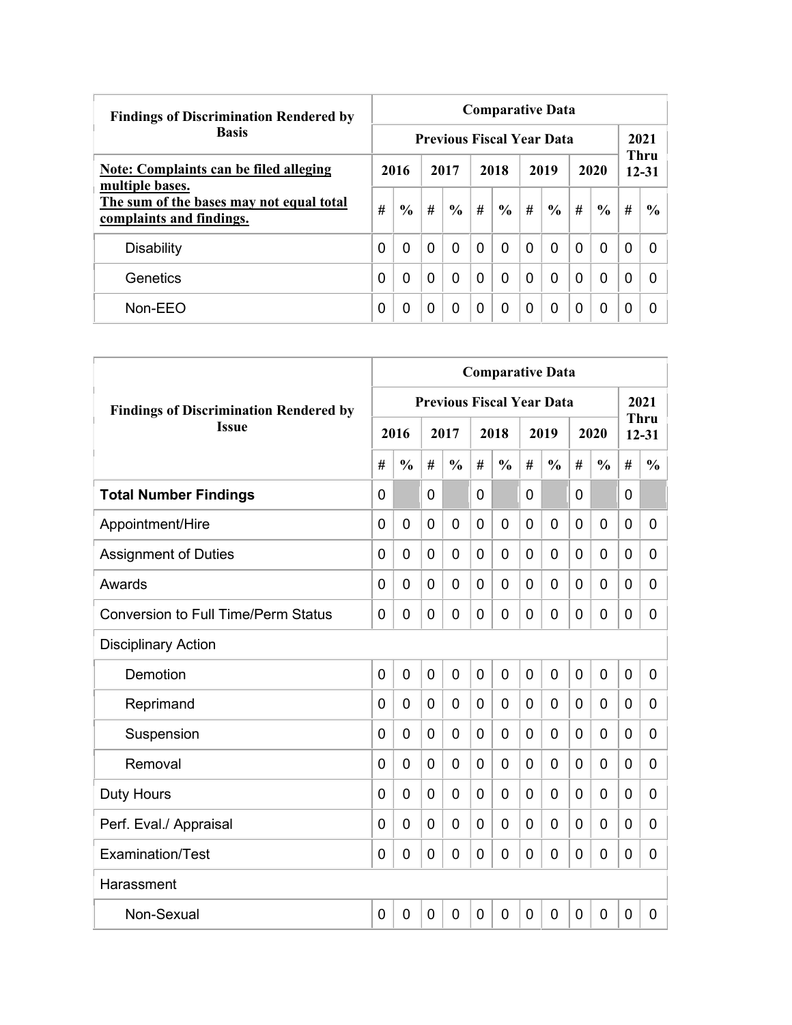| <b>Findings of Discrimination Rendered by</b>                        | <b>Comparative Data</b> |               |          |                                  |          |               |          |               |          |                |                          |              |  |  |
|----------------------------------------------------------------------|-------------------------|---------------|----------|----------------------------------|----------|---------------|----------|---------------|----------|----------------|--------------------------|--------------|--|--|
| <b>Basis</b>                                                         |                         |               |          | <b>Previous Fiscal Year Data</b> |          |               |          |               |          |                |                          | 2021         |  |  |
| Note: Complaints can be filed alleging<br>multiple bases.            | 2016                    |               | 2017     |                                  | 2018     |               | 2019     |               | 2020     |                | <b>Thru</b><br>$12 - 31$ |              |  |  |
| The sum of the bases may not equal total<br>complaints and findings. | #                       | $\frac{0}{0}$ | #        | $\%$                             | #        | $\frac{6}{6}$ | #        | $\frac{6}{6}$ | #        | $\frac{6}{6}$  | #                        | $\%$         |  |  |
| <b>Disability</b>                                                    | 0                       | $\Omega$      | $\Omega$ | 0                                | $\Omega$ | $\Omega$      | $\Omega$ | 0             | $\Omega$ | $\overline{0}$ | 0                        | <sup>0</sup> |  |  |
| Genetics                                                             | 0                       | 0             | $\Omega$ | 0                                | $\Omega$ | 0             | $\Omega$ | 0             | 0        | $\Omega$       | 0                        |              |  |  |
| $Non-EEO$                                                            | 0                       | 0             | 0        | 0                                | $\Omega$ | 0             | $\Omega$ | 0             | 0        | 0              | 0                        |              |  |  |

|                                               | <b>Comparative Data</b> |                |   |                                  |                |                |                |                |              |                |                |                          |  |
|-----------------------------------------------|-------------------------|----------------|---|----------------------------------|----------------|----------------|----------------|----------------|--------------|----------------|----------------|--------------------------|--|
| <b>Findings of Discrimination Rendered by</b> |                         |                |   | <b>Previous Fiscal Year Data</b> |                |                |                |                |              |                |                | 2021                     |  |
| <b>Issue</b>                                  |                         | 2016           |   | 2017                             |                | 2018           |                | 2019           |              | 2020           |                | <b>Thru</b><br>$12 - 31$ |  |
|                                               | #                       | $\frac{0}{0}$  | # | $\frac{0}{0}$                    | #              | $\frac{0}{0}$  | #              | $\frac{0}{0}$  | #            | $\frac{0}{0}$  | #              | $\frac{0}{0}$            |  |
| <b>Total Number Findings</b>                  | $\mathbf{0}$            |                | 0 |                                  | $\overline{0}$ |                | $\Omega$       |                | $\mathbf{0}$ |                | $\Omega$       |                          |  |
| Appointment/Hire                              | 0                       | $\overline{0}$ | 0 | 0                                | $\overline{0}$ | $\overline{0}$ | 0              | $\overline{0}$ | $\mathbf 0$  | $\mathbf 0$    | $\overline{0}$ | $\mathbf{0}$             |  |
| <b>Assignment of Duties</b>                   | 0                       | $\mathbf 0$    | 0 | 0                                | $\overline{0}$ | $\mathbf 0$    | 0              | 0              | 0            | $\overline{0}$ | $\mathbf 0$    | 0                        |  |
| Awards                                        | 0                       | 0              | 0 | 0                                | $\mathbf{0}$   | $\mathbf 0$    | 0              | 0              | 0            | $\mathbf 0$    | 0              | 0                        |  |
| <b>Conversion to Full Time/Perm Status</b>    | 0                       | $\Omega$       | 0 | 0                                | $\overline{0}$ | $\overline{0}$ | 0              | 0              | 0            | $\mathbf 0$    | 0              | 0                        |  |
| <b>Disciplinary Action</b>                    |                         |                |   |                                  |                |                |                |                |              |                |                |                          |  |
| Demotion                                      | $\overline{0}$          | $\overline{0}$ | 0 | 0                                | $\overline{0}$ | $\overline{0}$ | 0              | 0              | $\mathbf 0$  | $\overline{0}$ | $\overline{0}$ | 0                        |  |
| Reprimand                                     | 0                       | $\Omega$       | 0 | 0                                | $\mathbf{0}$   | $\overline{0}$ | $\Omega$       | 0              | 0            | $\mathbf 0$    | 0              | 0                        |  |
| Suspension                                    | 0                       | $\mathbf 0$    | 0 | 0                                | $\overline{0}$ | $\mathbf 0$    | 0              | 0              | 0            | $\mathbf 0$    | 0              | 0                        |  |
| Removal                                       | 0                       | $\overline{0}$ | 0 | 0                                | $\overline{0}$ | $\overline{0}$ | 0              | 0              | 0            | $\overline{0}$ | 0              | 0                        |  |
| <b>Duty Hours</b>                             | 0                       | $\Omega$       | 0 | 0                                | $\overline{0}$ | $\mathbf 0$    | 0              | 0              | 0            | $\overline{0}$ | $\mathbf 0$    | 0                        |  |
| Perf. Eval./ Appraisal                        | 0                       | $\mathbf 0$    | 0 | 0                                | $\overline{0}$ | $\overline{0}$ | 0              | 0              | 0            | $\overline{0}$ | $\mathbf 0$    | 0                        |  |
| Examination/Test                              | 0                       | $\mathbf 0$    | 0 | 0                                | $\overline{0}$ | $\overline{0}$ | 0              | 0              | $\mathbf 0$  | $\overline{0}$ | $\mathbf 0$    | 0                        |  |
| Harassment                                    |                         |                |   |                                  |                |                |                |                |              |                |                |                          |  |
| Non-Sexual                                    | 0                       | $\mathbf 0$    | 0 | 0                                | $\overline{0}$ | $\overline{0}$ | $\overline{0}$ | 0              | $\mathbf 0$  | $\overline{0}$ | $\overline{0}$ | 0                        |  |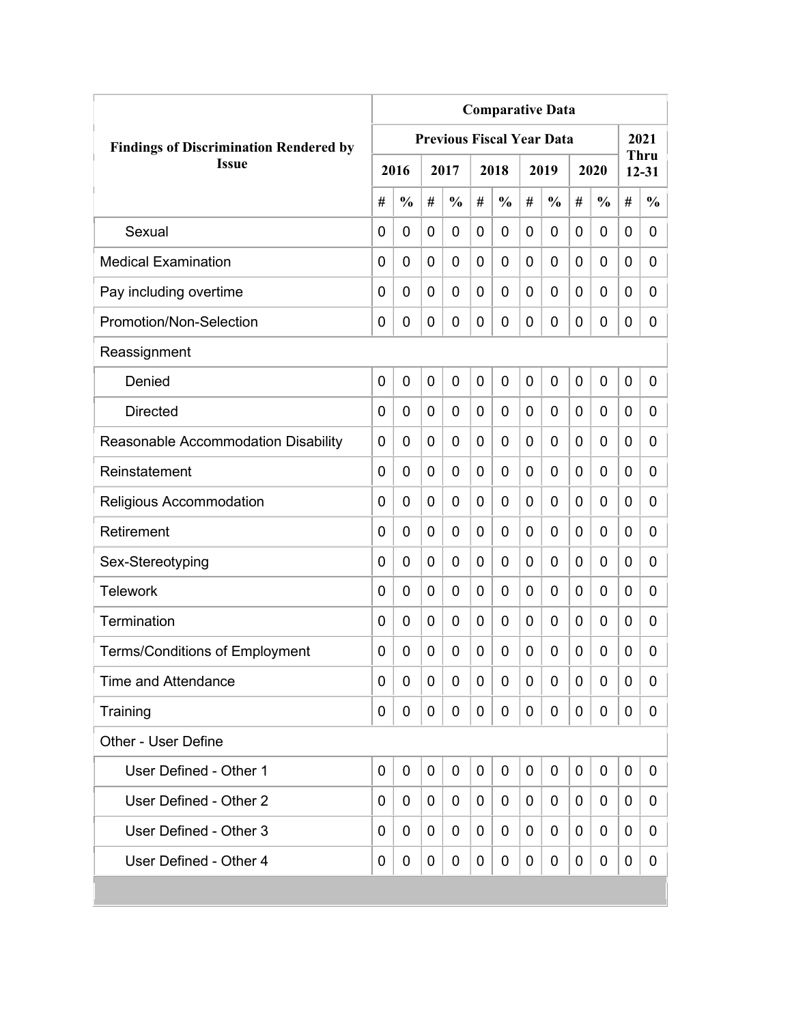|                                               | <b>Comparative Data</b> |               |                |                                  |   |               |   |               |             |               |   |                   |  |  |
|-----------------------------------------------|-------------------------|---------------|----------------|----------------------------------|---|---------------|---|---------------|-------------|---------------|---|-------------------|--|--|
| <b>Findings of Discrimination Rendered by</b> |                         |               |                | <b>Previous Fiscal Year Data</b> |   |               |   |               |             |               |   | 2021              |  |  |
| <b>Issue</b>                                  |                         | 2016          |                | 2017                             |   | 2018          |   | 2019          |             | 2020          |   | Thru<br>$12 - 31$ |  |  |
|                                               | #                       | $\frac{0}{0}$ | #              | $\frac{0}{0}$                    | # | $\frac{0}{0}$ | # | $\frac{0}{0}$ | #           | $\frac{0}{0}$ | # | $\frac{0}{0}$     |  |  |
| Sexual                                        | 0                       | 0             | 0              | 0                                | 0 | 0             | 0 | 0             | 0           | 0             | 0 | 0                 |  |  |
| <b>Medical Examination</b>                    | 0                       | 0             | 0              | 0                                | 0 | 0             | 0 | 0             | 0           | 0             | 0 | 0                 |  |  |
| Pay including overtime                        | 0                       | 0             | 0              | 0                                | 0 | 0             | 0 | 0             | 0           | 0             | 0 | 0                 |  |  |
| Promotion/Non-Selection                       | 0                       | 0             | 0              | 0                                | 0 | 0             | 0 | 0             | 0           | 0             | 0 | 0                 |  |  |
| Reassignment                                  |                         |               |                |                                  |   |               |   |               |             |               |   |                   |  |  |
| Denied                                        | $\mathbf 0$             | 0             | $\overline{0}$ | 0                                | 0 | 0             | 0 | 0             | $\mathbf 0$ | 0             | 0 | 0                 |  |  |
| <b>Directed</b>                               | 0                       | 0             | 0              | 0                                | 0 | 0             | 0 | 0             | 0           | 0             | 0 | 0                 |  |  |
| Reasonable Accommodation Disability           | 0                       | 0             | 0              | 0                                | 0 | 0             | 0 | 0             | 0           | 0             | 0 | 0                 |  |  |
| Reinstatement                                 | $\Omega$                | $\mathbf 0$   | 0              | 0                                | 0 | 0             | 0 | 0             | 0           | 0             | 0 | $\overline{0}$    |  |  |
| Religious Accommodation                       | 0                       | $\mathbf 0$   | 0              | 0                                | 0 | 0             | 0 | 0             | 0           | 0             | 0 | $\overline{0}$    |  |  |
| Retirement                                    | 0                       | 0             | 0              | 0                                | 0 | 0             | 0 | 0             | 0           | 0             | 0 | 0                 |  |  |
| Sex-Stereotyping                              | 0                       | 0             | 0              | 0                                | 0 | 0             | 0 | 0             | 0           | 0             | 0 | 0                 |  |  |
| <b>Telework</b>                               | 0                       | $\mathbf 0$   | 0              | 0                                | 0 | 0             | 0 | 0             | 0           | 0             | 0 | 0                 |  |  |
| Termination                                   | 0                       | 0             | 0              | 0                                | 0 | 0             | 0 | 0             | 0           | 0             | 0 | 0                 |  |  |
| <b>Terms/Conditions of Employment</b>         | 0                       | 0             | 0              | 0                                | 0 | 0             | 0 | 0             | 0           | 0             | 0 | 0                 |  |  |
| <b>Time and Attendance</b>                    | 0                       | 0             | 0              | 0                                | 0 | 0             | 0 | 0             | 0           | 0             | 0 | 0                 |  |  |
| Training                                      | 0                       | 0             | 0              | 0                                | 0 | 0             | 0 | 0             | 0           | 0             | 0 | 0                 |  |  |
| Other - User Define                           |                         |               |                |                                  |   |               |   |               |             |               |   |                   |  |  |
| User Defined - Other 1                        | $\mathbf 0$             | 0             | 0              | 0                                | 0 | $\mathbf 0$   | 0 | 0             | 0           | 0             | 0 | 0                 |  |  |
| User Defined - Other 2                        | 0                       | 0             | 0              | 0                                | 0 | 0             | 0 | 0             | 0           | 0             | 0 | 0                 |  |  |
| User Defined - Other 3                        | 0                       | 0             | 0              | 0                                | 0 | 0             | 0 | 0             | 0           | 0             | 0 | 0                 |  |  |
| User Defined - Other 4                        | 0                       | 0             | 0              | 0                                | 0 | 0             | 0 | 0             | 0           | 0             | 0 | 0                 |  |  |
|                                               |                         |               |                |                                  |   |               |   |               |             |               |   |                   |  |  |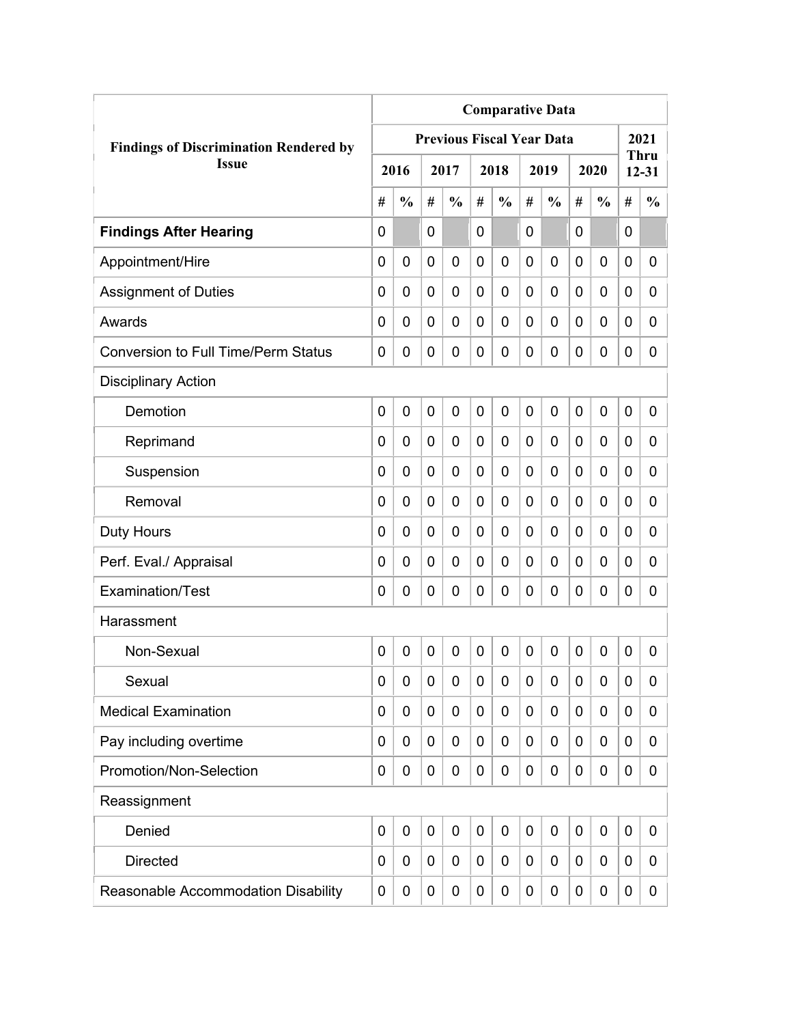| <b>Comparative Data</b>                       |   |               |             |                                  |             |               |                |               |             |               |             |                          |
|-----------------------------------------------|---|---------------|-------------|----------------------------------|-------------|---------------|----------------|---------------|-------------|---------------|-------------|--------------------------|
| <b>Findings of Discrimination Rendered by</b> |   |               |             | <b>Previous Fiscal Year Data</b> |             |               |                |               |             |               |             | 2021                     |
| <b>Issue</b>                                  |   | 2016          |             | 2017                             |             | 2018          |                | 2019          |             | 2020          |             | <b>Thru</b><br>$12 - 31$ |
|                                               | # | $\frac{0}{0}$ | #           | $\frac{0}{0}$                    | #           | $\frac{0}{0}$ | #              | $\frac{0}{0}$ | #           | $\frac{0}{0}$ | #           | $\frac{0}{0}$            |
| <b>Findings After Hearing</b>                 | 0 |               | 0           |                                  | 0           |               | 0              |               | 0           |               | $\mathbf 0$ |                          |
| Appointment/Hire                              | 0 | $\mathbf 0$   | 0           | $\overline{0}$                   | $\mathbf 0$ | 0             | 0              | 0             | 0           | $\mathbf 0$   | 0           | 0                        |
| <b>Assignment of Duties</b>                   | 0 | 0             | 0           | 0                                | $\mathbf 0$ | 0             | 0              | 0             | 0           | $\mathbf 0$   | 0           | 0                        |
| Awards                                        | 0 | 0             | 0           | 0                                | 0           | 0             | $\overline{0}$ | 0             | 0           | $\mathbf 0$   | 0           | 0                        |
| <b>Conversion to Full Time/Perm Status</b>    | 0 | 0             | 0           | 0                                | $\mathbf 0$ | 0             | 0              | 0             | 0           | $\mathbf 0$   | 0           | 0                        |
| <b>Disciplinary Action</b>                    |   |               |             |                                  |             |               |                |               |             |               |             |                          |
| Demotion                                      | 0 | $\mathbf 0$   | 0           | 0                                | $\mathbf 0$ | 0             | $\overline{0}$ | 0             | 0           | $\mathbf 0$   | $\mathbf 0$ | 0                        |
| Reprimand                                     | 0 | 0             | 0           | $\overline{0}$                   | $\mathbf 0$ | 0             | 0              | 0             | 0           | $\mathbf 0$   | 0           | 0                        |
| Suspension                                    | 0 | 0             | 0           | 0                                | 0           | 0             | 0              | 0             | 0           | $\mathbf 0$   | 0           | 0                        |
| Removal                                       | 0 | 0             | 0           | 0                                | 0           | 0             | 0              | 0             | 0           | $\mathbf 0$   | 0           | 0                        |
| <b>Duty Hours</b>                             | 0 | 0             | 0           | 0                                | $\mathbf 0$ | 0             | 0              | 0             | 0           | $\mathbf 0$   | 0           | 0                        |
| Perf. Eval./ Appraisal                        | 0 | 0             | 0           | 0                                | $\mathbf 0$ | 0             | 0              | 0             | 0           | $\mathbf 0$   | 0           | 0                        |
| Examination/Test                              | 0 | 0             | 0           | 0                                | $\mathbf 0$ | 0             | $\mathbf 0$    | 0             | 0           | $\mathbf 0$   | 0           | 0                        |
| Harassment                                    |   |               |             |                                  |             |               |                |               |             |               |             |                          |
| Non-Sexual                                    | 0 | $\mathbf 0$   | $\mathbf 0$ | $\overline{0}$                   | $\mathbf 0$ | 0             | $\mathbf 0$    | 0             | $\mathbf 0$ | $\mathbf 0$   | $\mathbf 0$ | 0                        |
| Sexual                                        | 0 | 0             | 0           | 0                                | $\mathbf 0$ | 0             | 0              | 0             | 0           | $\mathbf 0$   | 0           | 0                        |
| <b>Medical Examination</b>                    | 0 | 0             | 0           | 0                                | $\mathbf 0$ | 0             | 0              | 0             | 0           | $\mathbf 0$   | 0           | 0                        |
| Pay including overtime                        | 0 | 0             | 0           | 0                                | $\mathbf 0$ | 0             | 0              | 0             | 0           | $\mathbf 0$   | 0           | 0                        |
| Promotion/Non-Selection                       | 0 | 0             | 0           | 0                                | $\mathbf 0$ | 0             | $\mathbf 0$    | 0             | 0           | $\mathbf 0$   | 0           | 0                        |
| Reassignment                                  |   |               |             |                                  |             |               |                |               |             |               |             |                          |
| Denied                                        | 0 | $\mathbf 0$   | $\mathbf 0$ | 0                                | $\mathbf 0$ | 0             | $\mathbf 0$    | 0             | 0           | $\mathbf 0$   | $\mathbf 0$ | 0                        |
| <b>Directed</b>                               | 0 | 0             | 0           | 0                                | 0           | 0             | 0              | 0             | 0           | $\mathbf 0$   | 0           | 0                        |
| Reasonable Accommodation Disability           | 0 | 0             | 0           | 0                                | $\mathbf 0$ | 0             | 0              | 0             | 0           | $\mathbf 0$   | 0           | $\mathbf{0}$             |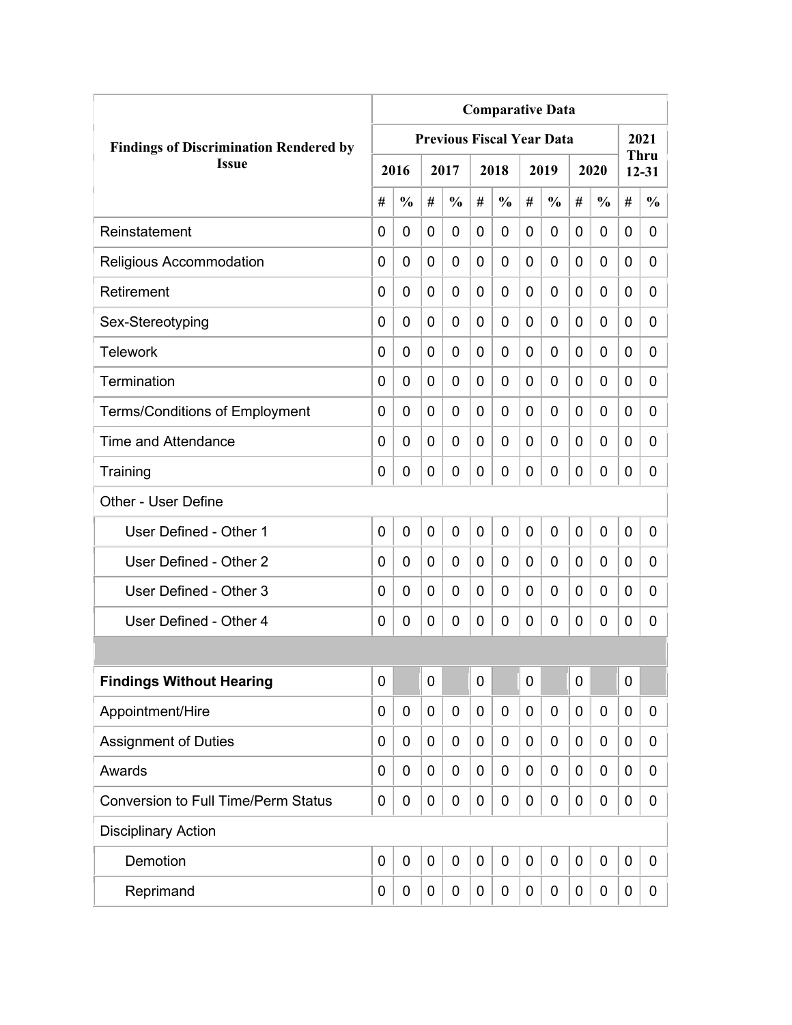| <b>Comparative Data</b>                       |             |               |             |                                  |                |               |   |               |             |               |             |                          |
|-----------------------------------------------|-------------|---------------|-------------|----------------------------------|----------------|---------------|---|---------------|-------------|---------------|-------------|--------------------------|
| <b>Findings of Discrimination Rendered by</b> |             |               |             | <b>Previous Fiscal Year Data</b> |                |               |   |               |             |               |             | 2021                     |
| <b>Issue</b>                                  |             | 2016          |             | 2017                             |                | 2018          |   | 2019          |             | 2020          |             | <b>Thru</b><br>$12 - 31$ |
|                                               | #           | $\frac{0}{0}$ | #           | $\frac{0}{0}$                    | #              | $\frac{0}{0}$ | # | $\frac{0}{0}$ | #           | $\frac{0}{0}$ | #           | $\frac{0}{0}$            |
| Reinstatement                                 | 0           | 0             | 0           | 0                                | 0              | 0             | 0 | 0             | 0           | 0             | 0           | 0                        |
| Religious Accommodation                       | 0           | 0             | 0           | 0                                | $\overline{0}$ | $\mathbf 0$   | 0 | 0             | 0           | 0             | 0           | 0                        |
| Retirement                                    | 0           | 0             | 0           | 0                                | 0              | $\mathbf 0$   | 0 | 0             | 0           | 0             | 0           | 0                        |
| Sex-Stereotyping                              | 0           | 0             | 0           | 0                                | 0              | 0             | 0 | 0             | 0           | 0             | 0           | 0                        |
| <b>Telework</b>                               | 0           | 0             | 0           | 0                                | 0              | 0             | 0 | 0             | 0           | 0             | 0           | 0                        |
| Termination                                   | 0           | 0             | 0           | 0                                | 0              | 0             | 0 | 0             | 0           | 0             | 0           | 0                        |
| <b>Terms/Conditions of Employment</b>         | 0           | 0             | 0           | 0                                | 0              | 0             | 0 | 0             | 0           | 0             | 0           | 0                        |
| Time and Attendance                           | 0           | 0             | 0           | 0                                | 0              | 0             | 0 | 0             | 0           | 0             | 0           | 0                        |
| Training                                      | 0           | 0             | 0           | 0                                | 0              | $\mathbf 0$   | 0 | 0             | 0           | 0             | 0           | 0                        |
| Other - User Define                           |             |               |             |                                  |                |               |   |               |             |               |             |                          |
| User Defined - Other 1                        | 0           | 0             | $\mathbf 0$ | 0                                | $\overline{0}$ | $\mathbf 0$   | 0 | 0             | $\mathbf 0$ | 0             | $\mathbf 0$ | 0                        |
| User Defined - Other 2                        | 0           | 0             | 0           | 0                                | 0              | 0             | 0 | 0             | 0           | 0             | $\mathbf 0$ | 0                        |
| User Defined - Other 3                        | 0           | 0             | 0           | 0                                | 0              | 0             | 0 | 0             | 0           | 0             | 0           | 0                        |
| User Defined - Other 4                        | 0           | 0             | 0           | 0                                | 0              | 0             | 0 | 0             | 0           | 0             | 0           | 0                        |
|                                               |             |               |             |                                  |                |               |   |               |             |               |             |                          |
| <b>Findings Without Hearing</b>               | 0           |               | $\pmb{0}$   |                                  | $\mathbf 0$    |               | 0 |               | 0           |               | $\mathbf 0$ |                          |
| Appointment/Hire                              | 0           | 0             | 0           | $\mathbf 0$                      | $\mathbf 0$    | $\mathbf 0$   | 0 | $\mathbf 0$   | 0           | 0             | $\mathbf 0$ | 0                        |
| <b>Assignment of Duties</b>                   | 0           | 0             | 0           | 0                                | 0              | $\mathbf 0$   | 0 | 0             | 0           | 0             | $\mathbf 0$ | 0                        |
| Awards                                        | 0           | 0             | 0           | 0                                | $\mathbf 0$    | 0             | 0 | 0             | 0           | 0             | $\mathbf 0$ | 0                        |
| <b>Conversion to Full Time/Perm Status</b>    | 0           | 0             | 0           | 0                                | 0              | 0             | 0 | 0             | 0           | 0             | $\mathbf 0$ | 0                        |
| <b>Disciplinary Action</b>                    |             |               |             |                                  |                |               |   |               |             |               |             |                          |
| Demotion                                      | $\mathbf 0$ | $\mathbf 0$   | $\mathbf 0$ | $\mathbf 0$                      | $\mathbf 0$    | $\mathbf 0$   | 0 | $\mathbf 0$   | 0           | 0             | $\mathbf 0$ | 0                        |
| Reprimand                                     | 0           | 0             | 0           | 0                                | 0              | $\mathbf 0$   | 0 | $\pmb{0}$     | 0           | 0             | $\mathbf 0$ | 0                        |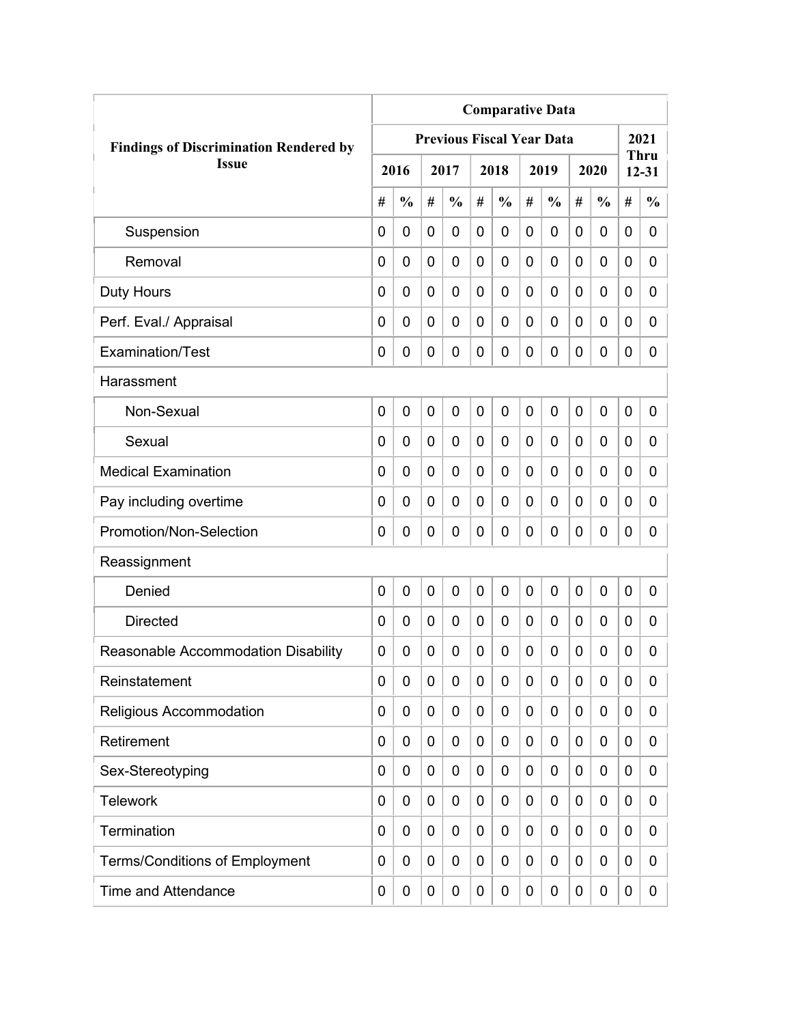|                                               | <b>Comparative Data</b> |                |   |                                  |             |               |             |               |   |               |             |                          |  |  |  |
|-----------------------------------------------|-------------------------|----------------|---|----------------------------------|-------------|---------------|-------------|---------------|---|---------------|-------------|--------------------------|--|--|--|
| <b>Findings of Discrimination Rendered by</b> |                         |                |   | <b>Previous Fiscal Year Data</b> |             |               |             |               |   |               |             | 2021                     |  |  |  |
| <b>Issue</b>                                  |                         | 2016           |   | 2017                             |             | 2018          |             | 2019          |   | 2020          |             | <b>Thru</b><br>$12 - 31$ |  |  |  |
|                                               | #                       | $\frac{0}{0}$  | # | $\frac{0}{0}$                    | #           | $\frac{0}{0}$ | #           | $\frac{0}{0}$ | # | $\frac{0}{0}$ | #           | $\frac{0}{0}$            |  |  |  |
| Suspension                                    | 0                       | $\mathbf 0$    | 0 | $\overline{0}$                   | $\mathbf 0$ | 0             | $\mathbf 0$ | 0             | 0 | $\mathbf 0$   | 0           | 0                        |  |  |  |
| Removal                                       | 0                       | 0              | 0 | $\overline{0}$                   | $\mathbf 0$ | 0             | 0           | 0             | 0 | $\mathbf 0$   | $\mathbf 0$ | 0                        |  |  |  |
| Duty Hours                                    | 0                       | 0              | 0 | 0                                | 0           | 0             | 0           | 0             | 0 | $\mathbf 0$   | 0           | 0                        |  |  |  |
| Perf. Eval./ Appraisal                        | 0                       | 0              | 0 | 0                                | 0           | 0             | 0           | 0             | 0 | $\mathbf 0$   | 0           | 0                        |  |  |  |
| Examination/Test                              | 0                       | 0              | 0 | 0                                | $\mathbf 0$ | 0             | 0           | 0             | 0 | $\mathbf 0$   | 0           | 0                        |  |  |  |
| Harassment                                    |                         |                |   |                                  |             |               |             |               |   |               |             |                          |  |  |  |
| Non-Sexual                                    | 0                       | $\overline{0}$ | 0 | 0                                | $\mathbf 0$ | 0             | $\mathbf 0$ | $\mathbf 0$   | 0 | $\mathbf 0$   | 0           | 0                        |  |  |  |
| Sexual                                        | 0                       | 0              | 0 | $\overline{0}$                   | 0           | 0             | 0           | 0             | 0 | $\mathbf 0$   | 0           | 0                        |  |  |  |
| <b>Medical Examination</b>                    | 0                       | 0              | 0 | $\overline{0}$                   | 0           | 0             | 0           | 0             | 0 | $\mathbf 0$   | $\mathbf 0$ | 0                        |  |  |  |
| Pay including overtime                        | 0                       | 0              | 0 | 0                                | 0           | 0             | 0           | 0             | 0 | $\mathbf 0$   | 0           | 0                        |  |  |  |
| Promotion/Non-Selection                       | 0                       | 0              | 0 | 0                                | $\mathbf 0$ | 0             | 0           | 0             | 0 | $\mathbf 0$   | 0           | 0                        |  |  |  |
| Reassignment                                  |                         |                |   |                                  |             |               |             |               |   |               |             |                          |  |  |  |
| Denied                                        | 0                       | $\mathbf 0$    | 0 | $\overline{0}$                   | $\mathbf 0$ | 0             | 0           | 0             | 0 | $\mathbf 0$   | 0           | 0                        |  |  |  |
| <b>Directed</b>                               | 0                       | $\mathbf 0$    | 0 | 0                                | $\mathbf 0$ | 0             | 0           | 0             | 0 | $\mathbf 0$   | 0           | 0                        |  |  |  |
| Reasonable Accommodation Disability           | 0                       | 0              | 0 | 0                                | 0           | 0             | 0           | 0             | 0 | 0             | 0           | 0                        |  |  |  |
| Reinstatement                                 | 0                       | 0              | 0 | 0                                | $\mathbf 0$ | 0             | 0           | 0             | 0 | $\mathbf 0$   | 0           | 0                        |  |  |  |
| Religious Accommodation                       | 0                       | 0              | 0 | 0                                | 0           | 0             | 0           | 0             | 0 | $\mathbf 0$   | 0           | 0                        |  |  |  |
| Retirement                                    | 0                       | 0              | 0 | 0                                | $\mathbf 0$ | 0             | 0           | 0             | 0 | $\mathbf 0$   | 0           | 0                        |  |  |  |
| Sex-Stereotyping                              | 0                       | 0              | 0 | 0                                | $\mathbf 0$ | 0             | 0           | 0             | 0 | $\mathbf 0$   | 0           | 0                        |  |  |  |
| <b>Telework</b>                               | 0                       | 0              | 0 | 0                                | $\mathbf 0$ | 0             | 0           | 0             | 0 | $\mathbf 0$   | 0           | 0                        |  |  |  |
| Termination                                   | 0                       | 0              | 0 | 0                                | $\mathbf 0$ | 0             | 0           | 0             | 0 | $\mathbf 0$   | 0           | 0                        |  |  |  |
| <b>Terms/Conditions of Employment</b>         | 0                       | 0              | 0 | 0                                | $\mathbf 0$ | 0             | 0           | 0             | 0 | $\mathbf 0$   | 0           | 0                        |  |  |  |
| <b>Time and Attendance</b>                    | 0                       | 0              | 0 | 0                                | $\mathbf 0$ | 0             | 0           | 0             | 0 | $\mathbf 0$   | 0           | 0                        |  |  |  |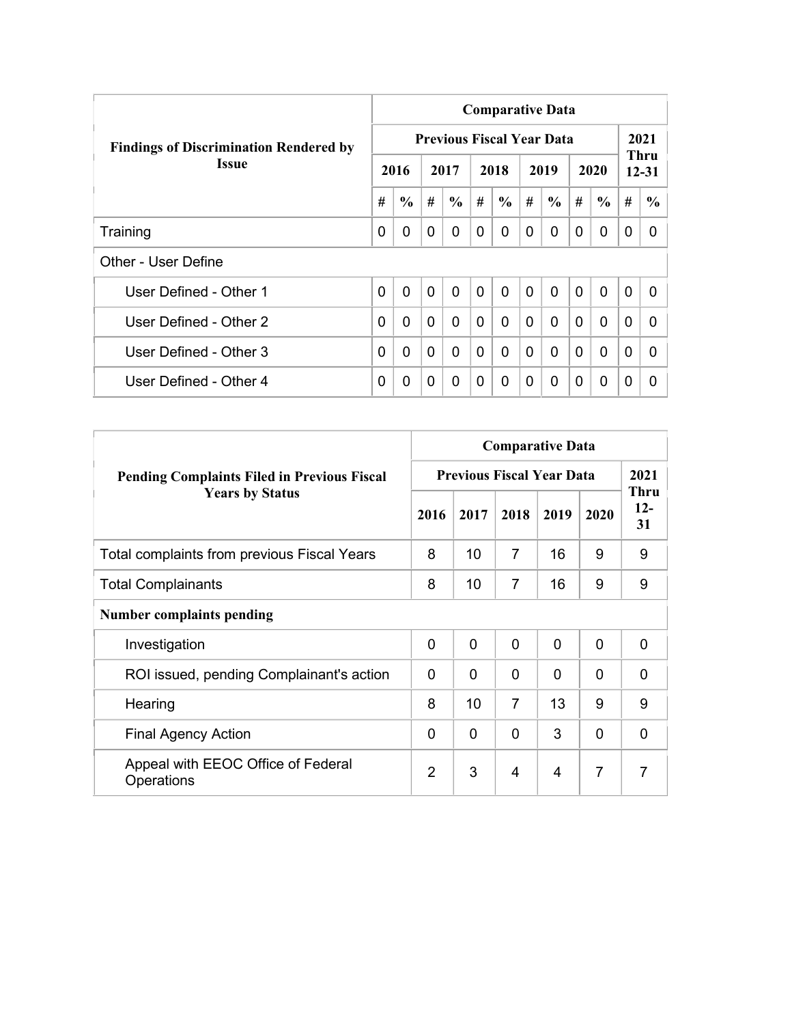|                                               | <b>Comparative Data</b> |               |                |                                  |                |                |              |                |                |               |                |                   |  |  |
|-----------------------------------------------|-------------------------|---------------|----------------|----------------------------------|----------------|----------------|--------------|----------------|----------------|---------------|----------------|-------------------|--|--|
| <b>Findings of Discrimination Rendered by</b> |                         |               |                | <b>Previous Fiscal Year Data</b> |                |                |              |                |                |               |                | 2021              |  |  |
| <b>Issue</b>                                  |                         | 2016          |                | 2017                             |                | 2018           |              | 2019           |                | 2020          |                | Thru<br>$12 - 31$ |  |  |
|                                               | #                       | $\frac{6}{6}$ | #              | $\frac{6}{6}$                    | #              | $\frac{6}{6}$  | #            | $\frac{6}{6}$  | #              | $\frac{6}{6}$ | #              | $\frac{6}{6}$     |  |  |
| Training                                      | 0                       | 0             | $\Omega$       | 0                                | 0              | $\Omega$       | 0            | 0              | $\Omega$       | 0             | 0              | 0                 |  |  |
| Other - User Define                           |                         |               |                |                                  |                |                |              |                |                |               |                |                   |  |  |
| User Defined - Other 1                        | $\overline{0}$          | $\mathbf 0$   | $\overline{0}$ | $\mathbf{0}$                     | $\overline{0}$ | $\overline{0}$ | $\mathbf{0}$ | $\overline{0}$ | $\overline{0}$ | $\mathbf{0}$  | $\overline{0}$ | 0                 |  |  |
| User Defined - Other 2                        | 0                       | 0             | $\mathbf{0}$   | $\Omega$                         | $\Omega$       | 0              | $\Omega$     | $\Omega$       | $\Omega$       | $\mathbf{0}$  | $\Omega$       | <sup>0</sup>      |  |  |
| User Defined - Other 3                        | 0                       | 0             | $\Omega$       | 0                                | $\mathbf{0}$   | 0              | $\Omega$     | $\mathbf{0}$   | $\Omega$       | $\mathbf{0}$  | $\Omega$       | 0                 |  |  |
| User Defined - Other 4                        | 0                       | 0             | $\Omega$       | 0                                | 0              | $\Omega$       | 0            | $\Omega$       | 0              | $\mathbf 0$   | 0              | 0                 |  |  |

|                                                    | <b>Comparative Data</b> |                                  |                |              |                |                            |  |
|----------------------------------------------------|-------------------------|----------------------------------|----------------|--------------|----------------|----------------------------|--|
| <b>Pending Complaints Filed in Previous Fiscal</b> |                         | <b>Previous Fiscal Year Data</b> |                |              |                | 2021                       |  |
| <b>Years by Status</b>                             | 2016                    | 2017                             | 2018           | 2019         | 2020           | <b>Thru</b><br>$12-$<br>31 |  |
| <b>Total complaints from previous Fiscal Years</b> | 8                       | 10                               | 7              | 16           | 9              | 9                          |  |
| <b>Total Complainants</b>                          | 8                       | 10                               | 7              | 16           | 9              | 9                          |  |
| <b>Number complaints pending</b>                   |                         |                                  |                |              |                |                            |  |
| Investigation                                      | $\mathbf 0$             | 0                                | $\overline{0}$ | $\mathbf{0}$ | $\mathbf{0}$   | 0                          |  |
| ROI issued, pending Complainant's action           | $\Omega$                | 0                                | $\Omega$       | 0            | 0              | 0                          |  |
| Hearing                                            | 8                       | 10                               | $\overline{7}$ | 13           | 9              | 9                          |  |
| <b>Final Agency Action</b>                         | $\Omega$                | 0                                | $\mathbf 0$    | 3            | $\mathbf{0}$   | $\Omega$                   |  |
| Appeal with EEOC Office of Federal<br>Operations   | $\overline{2}$          | 3                                | 4              | 4            | $\overline{7}$ | $\overline{7}$             |  |